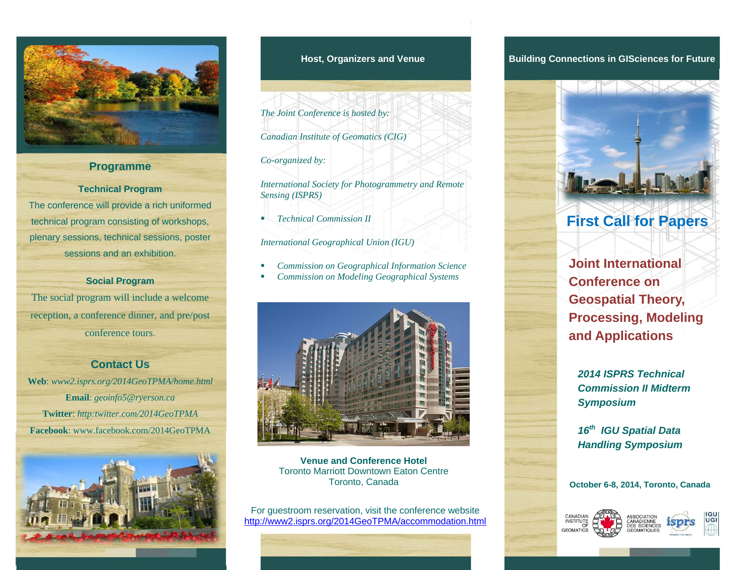

### **Programme**

#### **Technical Program**

The conference will provide a rich uniformed technical program consisting of workshops, plenary sessions, technical sessions, poster sessions and an exhibition.

### **Social Program**

The social program will include a welcome reception, a conference dinner, and pre/post conference tours.

### **Contact Us**

**Web**: *www2.isprs.org/2014GeoTPMA/home.html* **Email**: *geoinfo5@ryerson.ca* **Twitter**: *http:twitter.com/2014GeoTPMA*  **Facebook**: www.facebook.com/2014GeoTPMA



*The Joint Conference is hosted by:* 

*Canadian Institute of Geomatics (CIG)* 

#### *Co-organized by:*

*International Society for Photogrammetry and Remote Sensing (ISPRS)* 

г *Technical Commission II* 

*International Geographical Union (IGU)* 

- ٠ *Commission on Geographical Information Science*
- г *Commission on Modeling Geographical Systems*



**Venue and Conference Hotel** Toronto Marriott Downtown Eaton Centre Toronto, Canada

For guestroom reservation, visit the conference website http://www2.isprs.org/2014GeoTPMA/accommodation.html

### **Host, Organizers and Venue Building Connections in GISciences for Future**



### **First Call for Papers**

**Joint International Conference on Geospatial Theory, Processing, Modeling and Applications** 

*2014 ISPRS Technical Commission II Midterm Symposium* 

*<sup>16</sup>th IGU Spatial Data Handling Symposium* 

#### **October 6-8, 2014, Toronto, Canada**